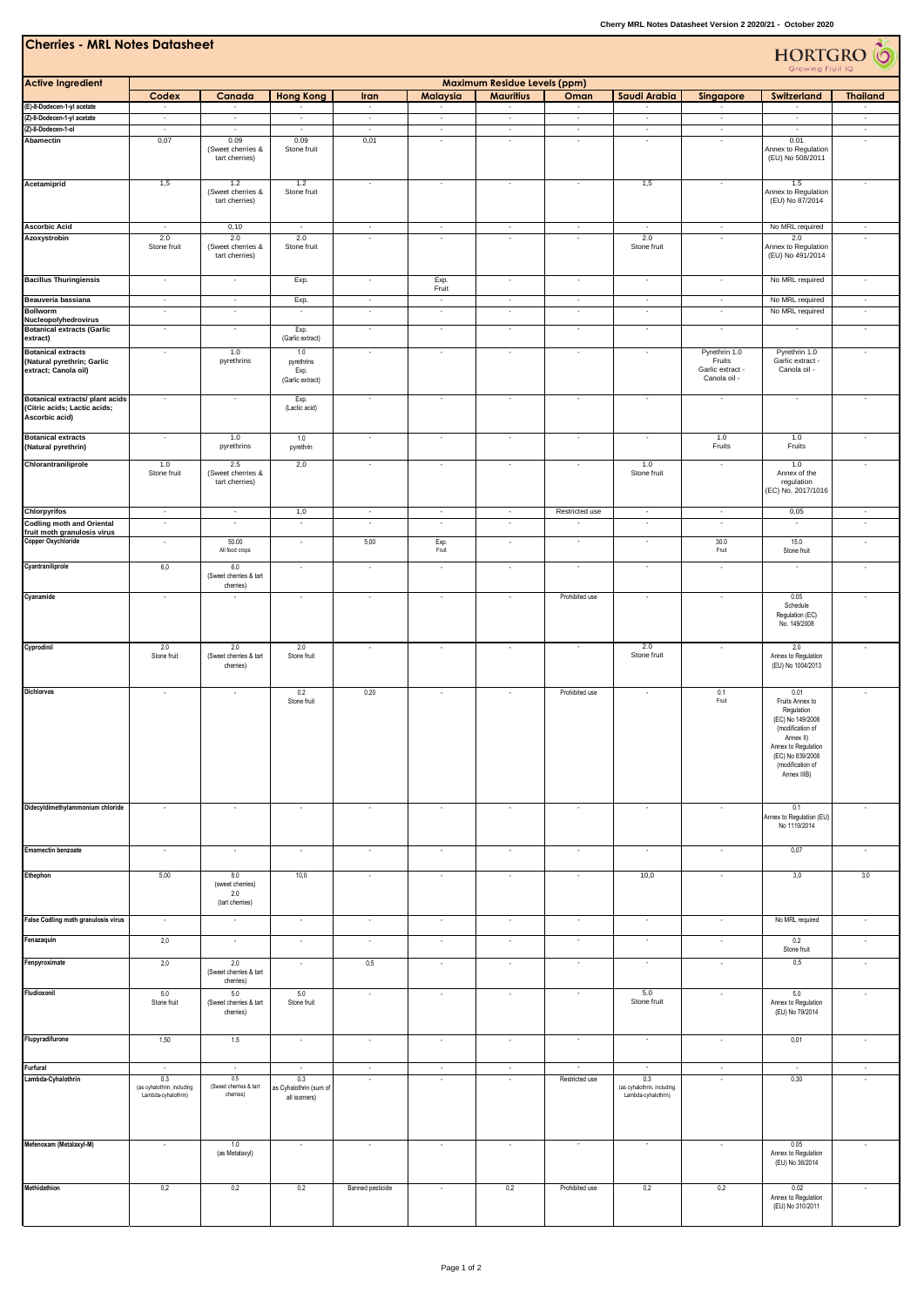| <b>Cherries - MRL Notes Datasheet</b><br><b>HORTGRO</b> O<br>Growing Fruit IQ            |                                                                                      |                                                      |                                                                           |                          |                           |                                                         |                          |                                                                    |                                                             |                                                                                                                                                                          |                                     |
|------------------------------------------------------------------------------------------|--------------------------------------------------------------------------------------|------------------------------------------------------|---------------------------------------------------------------------------|--------------------------|---------------------------|---------------------------------------------------------|--------------------------|--------------------------------------------------------------------|-------------------------------------------------------------|--------------------------------------------------------------------------------------------------------------------------------------------------------------------------|-------------------------------------|
| <b>Active Ingredient</b>                                                                 | Codex                                                                                | Canada                                               | <b>Hong Kong</b>                                                          | Iran                     | Malaysia                  | <b>Maximum Residue Levels (ppm)</b><br><b>Mauritius</b> | Oman                     | Saudi Arabia                                                       | Singapore                                                   | Switzerland                                                                                                                                                              | <b>Thailand</b>                     |
| (E)-8-Dodecen-1-yl acetate<br>(Z)-8-Dodecen-1-yl acetate                                 | $\overline{\phantom{a}}$<br>$\sim$                                                   | $\overline{\phantom{a}}$<br>$\sim$                   | $\sim$<br>$\sim$                                                          | $\sim$<br>$\sim$         | $\blacksquare$<br>$\cdot$ | $\sim$<br>$\blacksquare$                                | $\sim$<br>$\sim$         | $\blacksquare$<br>$\sim$                                           | $\overline{\phantom{a}}$<br>$\sim$                          | $\bar{\phantom{a}}$<br>$\sim$                                                                                                                                            | $\sim$<br>$\sim$                    |
| (Z)-8-Dodecen-1-ol                                                                       | $\sim$                                                                               | $\sim$                                               | $\overline{\phantom{a}}$                                                  | $\sim$                   | $\overline{\phantom{a}}$  | $\sim$                                                  | $\sim$                   | $\sim$                                                             | $\sim$                                                      | $\sim$                                                                                                                                                                   | $\sim$                              |
| Abamectin                                                                                | 0,07                                                                                 | 0.09<br>(Sweet cherries &<br>tart cherries)          | 0.09<br>Stone fruit                                                       | 0,01                     |                           | ٠                                                       | ÷.                       |                                                                    | $\sim$                                                      | 0.01<br>Annex to Regulation<br>(EU) No 508/2011                                                                                                                          | $\ddot{\phantom{1}}$                |
| Acetamiprid                                                                              | 1,5                                                                                  | 1.2<br>(Sweet cherries &<br>tart cherries)           | 1.2<br>Stone fruit                                                        | $\overline{\phantom{a}}$ |                           | $\overline{\phantom{a}}$                                | $\alpha$                 | 1,5                                                                | $\bar{a}$                                                   | 1.5<br>Annex to Regulation<br>(EU) No 87/2014                                                                                                                            |                                     |
| <b>Ascorbic Acid</b>                                                                     | $\overline{\phantom{a}}$                                                             | 0,10                                                 | $\overline{\phantom{a}}$                                                  | $\sim$                   | $\sim$                    | $\overline{\phantom{a}}$                                | $\sim$                   | $\sim$                                                             | $\sim$                                                      | No MRL required                                                                                                                                                          | $\sim$                              |
| Azoxystrobin                                                                             | 2.0<br>Stone fruit                                                                   | 2.0<br>(Sweet cherries &<br>tart cherries)           | 2.0<br>Stone fruit                                                        | ÷,                       | $\sim$                    | $\blacksquare$                                          | $\overline{\phantom{a}}$ | 2.0<br>Stone fruit                                                 | ÷,                                                          | 2.0<br>Annex to Regulation<br>(EU) No 491/2014                                                                                                                           | ÷,                                  |
| <b>Bacillus Thuringiensis</b>                                                            | $\sim$                                                                               | $\sim$                                               | Exp.                                                                      | $\sim$                   | Exp.<br>Fruit             | $\sim$                                                  | $\sim$                   | $\sim$                                                             | $\sim$                                                      | No MRL required                                                                                                                                                          | $\sim$                              |
| Beauveria bassiana                                                                       | $\bar{\phantom{a}}$                                                                  | $\overline{\phantom{a}}$                             | Exp.                                                                      | $\overline{\phantom{a}}$ | $\blacksquare$            | $\overline{\phantom{a}}$                                | $\overline{\phantom{a}}$ | $\mathcal{L}$                                                      | $\overline{\phantom{a}}$                                    | No MRL required                                                                                                                                                          | $\sim$                              |
| <b>Bollworm</b><br>Nucleopolyhedrovirus                                                  | $\sim$                                                                               | $\sim$                                               | $\sim$                                                                    | $\sim$                   | $\cdot$                   | $\sim$                                                  | $\sim$                   | $\sim$                                                             | $\sim$                                                      | No MRL required                                                                                                                                                          | $\sim$                              |
| <b>Botanical extracts (Garlic</b><br>extract)                                            | $\overline{\phantom{a}}$                                                             | $\overline{\phantom{a}}$                             | Exp.<br>(Garlic extract)                                                  | $\overline{\phantom{a}}$ | $\sim$                    | $\overline{\phantom{a}}$                                | $\blacksquare$           | $\sim$                                                             | $\overline{\phantom{a}}$                                    | $\blacksquare$                                                                                                                                                           | $\sim$                              |
| <b>Botanical extracts</b><br>(Natural pyrethrin; Garlic<br>extract; Canola oil)          | $\overline{\phantom{a}}$                                                             | 1.0<br>pyrethrins                                    | 1.0<br>pyrethrins<br>Exp.<br>(Garlic extract)                             | $\overline{\phantom{a}}$ | $\sim$                    | $\overline{\phantom{a}}$                                | $\blacksquare$           | $\sim$                                                             | Pyrethrin 1.0<br>Fruits<br>Garlic extract -<br>Canola oil - | Pyrethrin 1.0<br>Garlic extract -<br>Canola oil -                                                                                                                        | $\sim$                              |
| <b>Botanical extracts/ plant acids</b><br>(Citric acids; Lactic acids;<br>Ascorbic acid) | $\overline{\phantom{a}}$                                                             | $\overline{\phantom{a}}$                             | Exp.<br>(Lactic acid)                                                     | $\overline{\phantom{a}}$ | $\sim$                    | $\overline{\phantom{a}}$                                | $\sim$                   | $\sim$                                                             | $\overline{\phantom{a}}$                                    | $\overline{\phantom{a}}$                                                                                                                                                 | $\sim$                              |
| <b>Botanical extracts</b>                                                                | $\blacksquare$                                                                       | 1.0<br>pyrethrins                                    | 1.0                                                                       | $\overline{\phantom{a}}$ | $\blacksquare$            | $\overline{\phantom{a}}$                                | $\overline{\phantom{a}}$ | $\sim$                                                             | 1.0                                                         | 1.0                                                                                                                                                                      | $\overline{\phantom{a}}$            |
| (Natural pyrethrin)                                                                      |                                                                                      |                                                      | pyrethrin                                                                 |                          |                           |                                                         |                          |                                                                    | Fruits                                                      | Fruits                                                                                                                                                                   |                                     |
| Chlorantraniliprole                                                                      | 1.0<br>Stone fruit                                                                   | 2.5<br>(Sweet cherries &<br>tart cherries)           | 2,0                                                                       | $\sim$                   | $\cdot$                   | $\blacksquare$                                          | $\blacksquare$           | 1.0<br>Stone fruit                                                 | $\overline{\phantom{a}}$                                    | 1.0<br>Annex of the<br>regulation<br>(EC) No. 2017/1016                                                                                                                  | $\sim$                              |
| <b>Chlorpyrifos</b><br><b>Codling moth and Oriental</b>                                  | $\sim$<br>÷.                                                                         | $\sim$<br>$\sim$                                     | 1,0<br>÷.                                                                 | $\sim$<br>÷,             | $\cdot$<br>$\sim$         | $\sim$<br>$\overline{\phantom{a}}$                      | Restricted use<br>÷,     | $\sim$<br>$\sim$                                                   | $\sim$<br>÷,                                                | 0,05<br>$\sim$                                                                                                                                                           | $\sim$<br>÷.                        |
| fruit moth granulosis virus                                                              |                                                                                      |                                                      |                                                                           |                          |                           |                                                         |                          |                                                                    |                                                             |                                                                                                                                                                          |                                     |
| <b>Copper Oxychloride</b><br>Cyantraniliprole                                            | $\overline{\phantom{a}}$<br>6,0                                                      | 50.00<br>All food crops<br>6.0                       | $\epsilon$<br>$\cdot$                                                     | 5,00<br>$\cdot$          | Exp.<br>Fruit<br>$\cdot$  | $\cdot$<br>$\cdot$                                      | $\blacksquare$<br>$\sim$ | $\sim$<br>$\sim$                                                   | 30.0<br>Fruit<br>$\sim$                                     | 15.0<br>Stone fruit<br>$\sim$                                                                                                                                            | $\cdot$<br>$\overline{\phantom{a}}$ |
|                                                                                          |                                                                                      | (Sweet cherries & tart<br>cherries)                  |                                                                           |                          |                           |                                                         |                          |                                                                    |                                                             |                                                                                                                                                                          |                                     |
| Cyanamide                                                                                | $\sim$                                                                               | ×                                                    | $\cdot$                                                                   | $\epsilon$               | $\overline{\phantom{a}}$  | $\epsilon$                                              | Prohibited use           | ٠                                                                  | $\sim$                                                      | 0.05<br>Schedule<br>Regulation (EC)<br>No. 149/2008                                                                                                                      | $\cdot$                             |
| Cyprodinil                                                                               | 2.0<br>Stone fruit                                                                   | 2.0<br>(Sweet cherries & tart<br>cherries)           | 2.0<br>Stone fruit                                                        | ÷,                       | $\cdot$                   | $\cdot$                                                 | $\sim$                   | 2.0<br>Stone fruit                                                 | ÷,                                                          | 2.0<br>Annex to Regulation<br>(EU) No 1004/2013                                                                                                                          | $\epsilon$                          |
| <b>Dichlorvos</b>                                                                        | $\overline{\phantom{a}}$                                                             | ×                                                    | 0.2<br>Stone fruit                                                        | 0,20                     | $\overline{\phantom{a}}$  | $\overline{\phantom{a}}$                                | Prohibited use           | $\overline{\phantom{a}}$                                           | 0.1<br>Fruit                                                | 0.01<br>Fruits Annex to<br>Regulation<br>(EC) No 149/2008<br>(modification of<br>Annex II)<br>Annex to Regulation<br>(EC) No 839/2008<br>(modification of<br>Annex IIIB) | ٠                                   |
| Didecyldimethylammonium chloride                                                         | $\overline{\phantom{a}}$                                                             | $\overline{\phantom{a}}$                             | $\cdot$                                                                   | $\cdot$                  | $\cdot$                   | $\cdot$                                                 | $\overline{\phantom{a}}$ | $\overline{\phantom{a}}$                                           | $\overline{\phantom{a}}$                                    | 0.1<br>Annex to Regulation (EU)<br>No 1119/2014                                                                                                                          |                                     |
| <b>Emamectin benzoate</b>                                                                | $\sim$                                                                               | $\overline{\phantom{a}}$                             | $\overline{\phantom{a}}$                                                  | $\overline{\phantom{a}}$ | $\cdot$                   | $\cdot$                                                 | ٠                        | $\overline{\phantom{a}}$                                           | $\overline{\phantom{a}}$                                    | 0,07                                                                                                                                                                     | $\cdot$                             |
| Ethephon                                                                                 | 5,00                                                                                 | 8.0<br>(sweet cherries)<br>2.0<br>(tart cherries)    | 10,0                                                                      | $\cdot$                  | $\cdot$                   | $\cdot$                                                 | $\bar{\phantom{a}}$      | 10,0                                                               | ÷,                                                          | 3,0                                                                                                                                                                      | 3,0                                 |
| False Codling moth granulosis virus                                                      | $\sim$                                                                               | $\sim$                                               | $\sim$                                                                    | $\cdot$                  | $\cdot$                   | $\sim$                                                  | $\overline{\phantom{a}}$ | $\sim$                                                             | $\sim$                                                      | No MRL required                                                                                                                                                          | $\sim$                              |
| Fenazaquin                                                                               | 2,0                                                                                  | $\epsilon$                                           | $\cdot$                                                                   | $\epsilon$               | $\cdot$                   | $\cdot$                                                 | $\blacksquare$           | $\blacksquare$                                                     | $\sim$                                                      | 0.2                                                                                                                                                                      | $\cdot$                             |
|                                                                                          |                                                                                      |                                                      |                                                                           |                          |                           |                                                         | $\blacksquare$           | $\sim$                                                             |                                                             | Stone fruit                                                                                                                                                              |                                     |
| Fenpyroximate                                                                            | 2,0                                                                                  | 2.0<br>(Sweet cherries & tart<br>cherries)           | $\overline{\phantom{a}}$                                                  | 0,5                      | $\cdot$                   | $\cdot$                                                 |                          |                                                                    | $\overline{\phantom{a}}$                                    | 0,5                                                                                                                                                                      | $\overline{\phantom{a}}$            |
| Fludioxonil                                                                              | 5.0<br>Stone fruit                                                                   | 5.0<br>(Sweet cherries & tart<br>cherries)           | 5.0<br>Stone fruit                                                        | $\cdot$                  | $\cdot$                   | $\cdot$                                                 | $\overline{\phantom{a}}$ | 5.0<br>Stone fruit                                                 | ×                                                           | 5.0<br>Annex to Regulation<br>(EU) No 79/2014                                                                                                                            | $\epsilon$                          |
| Flupyradifurone                                                                          | 1,50                                                                                 | 1.5                                                  | $\overline{\phantom{a}}$                                                  | $\overline{\phantom{a}}$ | $\cdot$                   | $\cdot$                                                 | $\blacksquare$           | $\sim$                                                             | ×                                                           | 0,01                                                                                                                                                                     | $\cdot$                             |
| Furfural<br>Lambda-Cyhalothrin                                                           | $\overline{\phantom{a}}$<br>0.3<br>(as cyhalothrin, including<br>Lambda-cyhalothrin) | $\sim$<br>0.5<br>(Sweet cherries & tart<br>cherries) | $\overline{\phantom{a}}$<br>0.3<br>as Cyhalothrin (sum of<br>all isomers) | $\overline{\phantom{a}}$ | $\overline{\phantom{a}}$  | $\cdot$<br>$\overline{\phantom{a}}$                     | $\sim$<br>Restricted use | $\sim$<br>0.3<br>(as cyhalothrin, including<br>Lambda-cyhalothrin) | $\sim$<br>$\epsilon$                                        | $\overline{\phantom{a}}$<br>0,30                                                                                                                                         | $\overline{\phantom{a}}$            |
| Mefenoxam (Metalaxyl-M)                                                                  | $\cdot$                                                                              | 1.0<br>(as Metalaxyl)                                | $\overline{\phantom{a}}$                                                  | $\cdot$                  | $\cdot$                   | $\cdot$                                                 | $\blacksquare$           | $\sim$                                                             | $\cdot$                                                     | 0.05<br>Annex to Regulation<br>(EU) No 36/2014                                                                                                                           | $\cdot$                             |
| Methidathion                                                                             | 0,2                                                                                  | 0,2                                                  | 0,2                                                                       | Banned pesticide         | $\cdot$                   | 0,2                                                     | Prohibited use           | 0,2                                                                | 0,2                                                         | 0.02<br>Annex to Regulation<br>(EU) No 310/2011                                                                                                                          | $\cdot$                             |